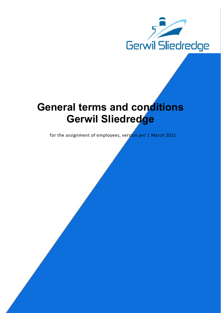

# General terms and conditions Gerwil Sliedredge

for the assignment of employees, version per 1 March 2021.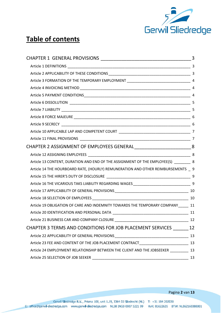

# Table of contents

| CHAPTER 2 ASSIGNMENT OF EMPLOYEES GENERAL ________________________________8               |    |
|-------------------------------------------------------------------------------------------|----|
|                                                                                           |    |
| Article 13 CONTENT, DURATION AND END OF THE ASSIGNMENT OF THE EMPLOYEE(S) ________ 8      |    |
| Article 14 THE HOURBOARD RATE, (HOURLY) REMUNERATION AND OTHER REIMBURSEMENTS _ 9         |    |
|                                                                                           |    |
| Article 16 THE VICARIOUS TAKS LIABILITY REGARDING WAGES_________________________________9 |    |
|                                                                                           |    |
|                                                                                           |    |
| Article 19 OBLIGATION OF CARE AND INDEMNITY TOWARDS THE TEMPORARY COMPANY 11              |    |
|                                                                                           |    |
| Article 21 BUSINESS CAR AND COMPANY CLOSURE                                               | 12 |
| CHAPTER 3 TERMS AND CONDITIONS FOR JOB PLACEMENT SERVICES _______ 12                      |    |
|                                                                                           |    |
|                                                                                           |    |
| Article 24 EMPLOYMENT RELATIONSHIP BETWEEN THE CLIENT AND THE JOBSEEKER __________ 13     |    |
|                                                                                           | 13 |

Pagina 2 van 13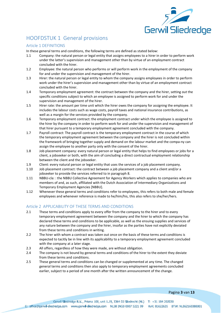

# HOOFDSTUK 1 General provisions

#### Article 1 DEFINITIONS

In these general terms and conditions, the following terms are defined as stated below:

- 1.1 Company: the natural person or legal entity that assigns employees to a hirer in order to perform work under the latter's supervision and management other than by virtue of an employment contract concluded with the hirer.
- 1.2 Employee: the natural person who performs or will perform work in the employment of the company for and under the supervision and management of the hirer.
- 1.3 Hirer: the natural person or legal entity to whom the company assigns employees in order to perform work under the hirer's supervision and management other than by virtue of an employment contract concluded with the hirer.
- 1.4 Temporary employment agreement: the contract between the company and the hirer, setting out the specific conditions subject to which an employee is assigned to perform work for and under the supervision and management of the hirer.
- 1.5 Hirer rate: the amount per time unit which the hirer owes the company for assigning the employee. It includes the labour costs such as wage costs, payroll taxes and national insurance contributions, as well as a margin for the services provided by the company.
- 1.6 Temporary employment contract: the employment contract under which the employee is assigned to the hirer by the company in order to perform work for and under the supervision and management of that hirer pursuant to a temporary employment agreement concluded with the company.
- 1.7 Payroll contract: The payroll contract is the temporary employment contract in the course of which the temporary employment agreement between the company and the hirer is not concluded within the framework of bringing together supply and demand on the labour market and the compa-ny can assign the employee to another party only with the consent of the hirer.
- 1.8 Job placement company: every natural person or legal entity that helps to find employees or jobs for a client, a jobseeker or both, with the aim of concluding a direct contractual employment relationship between the client and the jobseeker.
- 1.9 Client: every natural person or legal entity that uses the services of a job placement company.
- 1.10 Job placement contract: the contract between a job placement company and a client and/or a jobseeker to provide the services referred to in paragraph 8.
- 1.11 NBBU-cla: : the NBBU Collective Agreement for Agency Workers which applies to companies who are members of and, as such, affiliated with the Dutch Association of Intermediary Organizations and Temporary Employment Agencies [NBBU].
- 1.12 Whenever these general terms and conditions refer to employees, this refers to both male and female employees and whenever reference is made to he/him/his, this also refers to she/her/hers.

# Article 2 APPLICABILITY OF THESE TERMS AND CONDITIONS

- 2.1 These terms and conditions apply to every offer from the company to the hirer and to every temporary employment agreement between the company and the hirer to which the company has declared these terms and conditions to be applicable, as well as the ensuing supplies and services of any nature between the company and the hirer, insofar as the parties have not explicitly deviated from these terms and conditions in writing.
- 2.2 The hirer with whom a contract was taken out once on the basis of these terms and conditions is expected to tacitly be in line with its applicability to a temporary employment agreement concluded with the company at a later stage.
- 2.3 All offers, regardless of how they were made, are without obligation.
- 2.4 The company is not bound by general terms and conditions of the hirer to the extent they deviate from these terms and conditions.
- 2.5 These general terms and conditions can be changed or supplemented at any time. The changed general terms and conditions then also apply to temporary employment agreements concluded earlier, subject to a period of one month after the written announcement of the change.

Pagina 3 van 13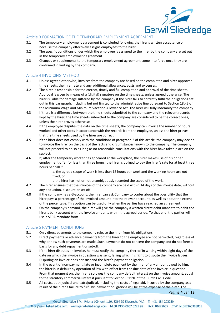

#### Article 3 FORMATION OF THE TEMPORARY EMPLOYMENT AGREEMENT

- 3.1 The temporary employment agreement is concluded following the hirer's written acceptance or because the company effectively assigns employees to the hirer.
- 3.2 The specific conditions under which the employee is assigned to the hirer by the company are set out in the temporary employment agreement.
- 3.3 Changes or supplements to the temporary employment agreement come into force once they are confirmed in writing by the company.

# Article 4 INVOICING METHOD

- 4.1 Unless agreed otherwise, invoices from the company are based on the completed and hirer-approved time sheets, the hirer rate and any additional allowances, costs and expenses.
- 4.2 The hirer is responsible for the correct, timely and full completion and approval of the time sheets. Approval is given by means of a (digital) signature on the time sheets, unless agreed otherwise. The hirer is liable for damage suffered by the company if the hirer fails to correctly fulfil the obligations set out in this paragraph, including but not limited to the administrative fine pursuant to Section 18b.2 of the Minimum Wage and Minimum Vacation Allowance Act. The hirer will fully indemnify the company.
- 4.3 If there is a difference between the time sheets submitted to the company and the relevant records kept by the hirer, the time sheets submitted to the company are considered to be the correct ones, unless the hirer proves otherwise.
- 4.4 If the employee disputes the data on the time sheets, the company can invoice the number of hours worked and other costs in accordance with the records from the employee, unless the hirer proves that the time sheets used by the hirer are correct.
- 4.5 If the hirer does not comply with the conditions of paragraph 2 of this article, the company may decide to invoice the hirer on the basis of the facts and circumstances known to the company. The company will not proceed to do so as long as no reasonable consultations with the hirer have taken place on the subject.
- 4.6 If, after the temporary worker has appeared at the workplace, the hirer makes use of his or her employment offer for less than three hours, the hirer is obliged to pay the hirer's rate for at least three hours per call if:

a. the agreed scope of work is less than 15 hours per week and the working hours are not fixed; or

- b the hirer has not or not unambiguously recorded the scope of the work.
- 4.7 The hirer ensures that the invoices of the company are paid within 14 days of the invoice date, without any deduction, discount or set-off.
- 4.8 if the company has a G-account, the hirer can ask Company to confer about the possibility that the hirer pays a percentage of the invoiced amount into the relevant account, as well as about the extent of the percentage. This option can be used only when the parties have reached an agreement.
- 4.9 On the company's demand, the hirer will give the company a written direct debit mandate to debit the hirer's bank account with the invoice amounts within the agreed period. To that end, the parties will use a SEPA mandate form..

# Article 5 PAYMENT CONDITIONS

- 5.1 Only direct payments to the company release the hirer from his obligations.
- 5.2 Direct payments or advance payments from the hirer to the employee are not permitted, regardless of why or how such payments are made. Such payments do not concern the company and do not form a basis for any debt repayment or set-off.
- 5.3 If the hirer disputes an invoice, he must notify the company thereof in writing within eight days of the date on which the invoice in question was sent, failing which his right to dispute the invoice lapses. Disputing an invoice does not suspend the hirer's payment obligation.
- 5.4 In the event of non-payment, late or incomplete payment by the hirer of any amount owed by him, the hirer is in default by operation of law with effect from the due date of the invoice in question. From that moment on, the hirer also owes the company default interest on the invoice amount, equal to the statutory commercial interest pursuant to Section 6:119a of the Dutch Civil Code..
- 5.5 All costs, both judicial and extrajudicial, including the costs of legal aid, incurred by the company as a result of the hirer's failure to fulfil his payment obligations will be at the expense of the hirer. The

Pagina 4 van 13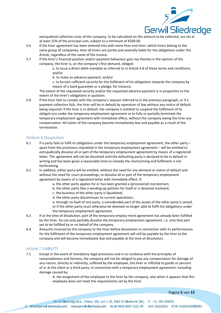

extrajudicial collection costs of the company, to be calculated on the amount to be collected, are set at at least 15% of the principal sum, subject to a minimum of €500.00.

- 5.6 If the hirer agreement has been entered into with more than one hirer, which hirers belong to the same group of companies, then all hirers are jointly and severally liable for the obligations under this Article, regardless of the name of the invoice.
- 5.7 If the hirer's financial position and/or payment behaviour give rise thereto in the opinion of the company, the hirer is, on the company's first demand, obliged:

a. to issue a direct debit mandate as referred to in Article 4.8 of these terms and conditions; and/or

- b. to make an advance payment; and/or
- c. to furnish sufficient security for the fulfilment of his obligations towards the company by means of a bank guarantee or a pledge, for instance.

The extent of the requested security and/or the requested advance payment is in proportion to the extent of the hirer's obligations in question.

5.8 If the hirer fails to comply with the company's request referred to in the previous paragraph, or if a payment collection fails, the hirer will be in default by operation of law without any notice of default being required. If the hirer is in default, the company is entitled to suspend the fulfilment of its obligati-ons under the temporary employment agreement or to fully or partially terminate the temporary employment agreement with immediate effect, without the company owing the hirer any compensation. All claims of the company become immediately due and payable as a result of the termination.

#### Artikcle 6 Dissolution

- 6.1 If a party fails to fulfil its obligations under the temporary employment agreement, the other party apart from the provisions stipulated in the temporary employment agreement – will be entitled to extrajudicially dissolve all or part of the temporary employment agreement by means of a registered letter. The agreement will not be dissolved until the defaulting party is declared to be in default in writing and has been given a reasonable time to remedy the shortcoming and fulfilment is not forthcoming.
- 6.2 In addition, either party will be entitled, without the need for any demand or notice of default and without the need for court proceedings, to dissolve all or part of the temporary employment agreement by means of a registered letter with immediate effect, if:
	- a. the other party applies for or has been granted a (provisional) moratorium;
	- b. the other party files a winding-up petition for itself or is declared insolvent;
	- c. the business of the other party is liquidated;
	- d. the other party discontinues its current operations;
	- e. through no fault of one party, a considerable part of the assets of the other party is seized, or if the other party must otherwise be deemed no longer able to fulfil the obligations under the temporary employment agreement.
- 6.3 If at the time of dissolution, part of the temporary employ-ment agreement has already been fulfilled by the hirer, he can only partially dissolve the temporary employment agreement, i.e. only that part yet to be fulfilled by or on behalf of the company.
- 6.4 Amounts invoiced by the company to the hirer before dissolution in connection with its performances for the fulfilment of the temporary employment agreement will still be payable by the hirer to the company and will become immediately due and payable at the time of dissolution.

#### Article 7 LIABILITY

7.1 Except in the event of mandatory legal provisions and in ac-cordance with the principles of reasonableness and fairness, the company will not be obliged to pay any compensation for damage of any nature, directly or indirectly, suffered by the employee, the hirer or inflicted to goods or persons of or at the client or a third party, in connection with a temporary employment agreement, including damage caused by:

> A. the assignment of the employee to the hirer by the company, also when it appears that this employee does not meet the requirements set by the hirer.

> > Pagina 5 van 13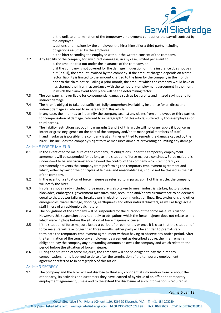

b. the unilateral termination of the temporary employment contract or the payroll contract by the employee.

c. actions or omissions by the employee, the hirer himself or a third party, including obligations assumed by the employee.

- d. the hirer seconding the employee without the written consent of the company.
- 7.2 Any liability of the company for any direct damage is, in any case, limited per event to:

a. the amount paid out under the insurance of the company, or

b. if the company is not covered for the damage in question or if the insurance does not pay out (in full), the amount invoiced by the company. If the amount charged depends on a time factor, liability is limited to the amount charged to the hirer by the company in the month prior to the claim notice. Failing a prior month, the amount which the company would have or has charged the hirer in accordance with the temporary employment agreement in the month in which the claim event took place will be the determining factor.

- 7.3 The company is never liable for consequential damage such as lost profits and missed savings and for indirect damage.
- 7.4 The hirer is obliged to take out sufficient, fully comprehensive liability insurance for all direct and indirect damage as referred to in paragraph 1 this article.
- 7.5 In any case, the hirer has to indemnify the company against any claims from employees or third parties for compensation of damage, referred to in paragraph 1 of this article, suffered by those employees or third parties.
- 7.6 The liability restrictions set out in paragraphs 1 and 2 of this article will no longer apply if it concerns intent or gross negligence on the part of the company and/or its managerial members of staff.
- 7.7 If and insofar as is possible, the company is at all times entitled to remedy the damage caused by the hirer. This includes the company's right to take measures aimed at preventing or limiting any damage.

#### Article 8 FORCE MAJEUR

- 8.1 In the event of force majeure of the company, its obligations under the temporary employment agreement will be suspended for as long as the situation of force majeure continues. Force majeure is understood to be any circumstance beyond the control of the company which temporarily or permanently prevents the company from performing the temporary employment agreement and which, either by law or the principles of fairness and reasonableness, should not be classed as the risk of the company.
- 8.2 In the event of a situation of force majeure as referred to in paragraph 1 of this article, the company will notify the hirer.
- 8.3 Insofar as not already included, force majeure is also taken to mean industrial strikes, factory sit-ins, blockades, embargoes, government measures, war, revolution and/or any circumstance to be deemed equal to that, power failures, breakdowns in electronic communication lines, fire, explosions and other emergencies, water damage, flooding, earthquakes and other natural disasters, as well as large-scale staff illness of an epidemiologic nature.
- 8.4 The obligations of the company will be suspended for the duration of the force majeure situation. However, this suspension does not apply to obligations which the force majeure does not relate to and which were in place before the situation of force majeure occurred.
- 8.5 If the situation of force majeure lasted a period of three months or once it is clear that the situation of force majeure will take longer than three months, either party will be entitled to prematurely terminate the temporary employment agree¬ment without having to observe any notice period. After the termination of the temporary employment agreement as described above, the hirer remains obliged to pay the company any outstanding amounts he owes the company and which relate to the period before the situation of force majeure.
- 8.6 During the situation of force majeure, the company will not be obliged to pay the hirer any compensation, nor is it obliged to do so after the termination of the temporary employment agreement referred to in paragraph 5 of this article.

#### Article 9 SECRECY

9.1 The company and the hirer will not disclose to third any confidential information from or about the other party, its activities and customers they have learned of by virtue of an offer or a temporary employment agreement, unless and to the extent the disclosure of such information is required in

Pagina 6 van 13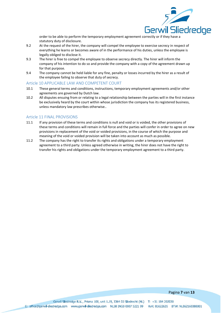

order to be able to perform the temporary employment agreement correctly or if they have a statutory duty of disclosure.

- 9.2 At the request of the hirer, the company will compel the employee to exercise secrecy in respect of everything he learns or becomes aware of in the performance of his duties, unless the employee is legally obliged to disclose it.
- 9.3 The hirer is free to compel the employee to observe secrecy directly. The hirer will inform the company of his intention to do so and provide the company with a copy of the agreement drawn up for that purpose.
- 9.4 The company cannot be held liable for any fine, penalty or losses incurred by the hirer as a result of the employee failing to observe that duty of secrecy.

#### Article 10 APPLICABLE LAW AND COMPETENT COURT

- 10.1 These general terms and conditions, instructions, temporary employment agreements and/or other agreements are governed by Dutch law.
- 10.2 All disputes ensuing from or relating to a legal relationship between the parties will in the first instance be exclusively heard by the court within whose jurisdiction the company has its registered business, unless mandatory law prescribes otherwise..

# Article 11 FINAL PROVISIONS

- 11.1 If any provision of these terms and conditions is null and void or is voided, the other provisions of these terms and conditions will remain in full force and the parties will confer in order to agree on new provisions in replacement of the void or voided provisions, in the course of which the purpose and meaning of the void or voided provision will be taken into account as much as possible.
- 11.2 The company has the right to transfer its rights and obligations under a temporary employment agreement to a third party. Unless agreed otherwise in writing, the hirer does not have the right to transfer his rights and obligations under the temporary employment agreement to a third party.

#### Pagina 7 van 13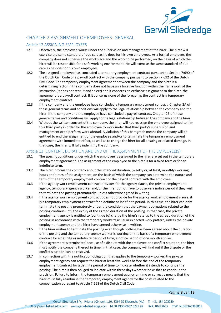

# CHAPTER 2 ASSIGNMENT OF EMPLOYEES: GENERAL

# Article 12 ASSIGNING EMPLOYEES

- 12.1 Effectively, the employee works under the supervision and management of the hirer. The hirer will exercise the same standard of due care as he does for his own employees. As a formal employer, the company does not supervise the workplace and the work to be performed, on the basis of which the hirer will be responsible for a safe working environment. He will exercise the same standard of due care as he does for his own employees.
- 12.2 The assigned employee has concluded a temporary employment contract pursuant to Section 7:690 of the Dutch Civil Code or a payroll contract with the company pursuant to Section 7:692 of the Dutch Civil Code. The temporary employment agreement between the company and the hirer is a determining factor: if the company does not have an allocative function within the framework of the instruction (it does not recruit and select) and it concerns an exclusive assignment to the hirer, the agreement is a payroll contract. If it concerns none of the foregoing, the contract is a temporary employment contract.
- 12.3 If the company and the employee have concluded a temporary employment contract, Chapter 2A of these general terms and conditions will apply to the legal relationship between the company and the hirer. If the company and the employee have concluded a payroll contract, Chapter 2B of these general terms and conditions will apply to the legal relationship between the company and the hirer
- 12.4 Without the written consent of the company, the hirer will not reassign the employee assigned to him to a third party in order for the employee to work under that third party's supervision and management or to perform work abroad. A violation of this paragraph means the company will be entitled to end the assignment of the employee and/or to terminate the temporary employment agreement with immediate effect, as well as to charge the hirer for all ensuing or related damage. In that case, the hirer will fully indemnify the company.

#### Article 13 CONTENT, DURATION AND END OF THE ASSIGNMENT OF THE EMPLOYEE(S)

- 13.1 The specific conditions under which the employee is assig-ned to the hirer are set out in the temporary employment agreement. The assignment of the employee to the hirer is for a fixed term or for an indefinite term.
- 13.2 The hirer informs the company about the intended duration, (weekly or, at least, monthly) working hours and times of the assignment, on the basis of which the company can determine the nature and term of the temporary employment contract or the payroll contract with the employee..
- 13.3 If the agency work employment contract provides for the agency clause, the private employment agency, temporary agency worker and/or the hirer do not have to observe a notice period if they wish to terminate the posting prematurely, unless otherwise agreed in writing.
- 13.4 If the agency work employment contract does not provide for the agency work employment clause, it is a temporary employment contract for a definite or indefinite period. In this case, the hirer can only terminate the posting prematurely under the condition that the payment obligations related to the posting continue until the expiry of the agreed duration of the posting. In that case, the private employment agency is entitled to (continue to) charge the hirer's rate up to the agreed duration of the posting in accordance with the temporary worker's usual or expected work pattern, unless the private employment agency and the hirer have agreed otherwise in writing.
- 13.5 If the hirer wishes to terminate the posting even though nothing has been agreed about the duration of the posting and the temporary agency worker is working on the basis of a temporary employment contract for a definite or indefinite period of time, a notice period of one month applies.
- 13.6 If the agreement is terminated because of a dispute with the employee or a conflict situation, the hirer must notify the company thereof in time. In that case, the company will find out if the dispute or the conflict situation can be resolved.
- 13.7 In connection with the notification obligation that applies to the temporary worker, the private employment agency can request the hirer at least five weeks before the end of the temporary employment contract for a definite period of time to indicate whether it intends to continue the posting. The hirer is then obliged to indicate within three days whether he wishes to continue the provision. Failure to inform the temporary employment agency on time or correctly means that the hirer must fully reimburse the temporary employment agency for the costs related to the compensation pursuant to Article 7:668 of the Dutch Civil Code.

#### Pagina 8 van 13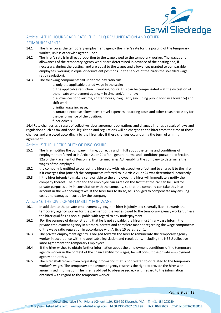

# Article 14 THE HOURBOARD RATE, (HOURLY) REMUNERATION AND OTHER REIMBURSEMENTS

- 14.1 The hirer owes the temporary employment agency the hirer's rate for the posting of the temporary worker, unless otherwise agreed upon.
- 14.2 The hirer's rate is in direct proportion to the wage owed to the temporary worker. The wages and allowances of the temporary agency worker are determined in advance of the posting and, if necessary, during the posting, and are equal to the wages and allowances granted to comparable employees, working in equal or equivalent positions, in the service of the hirer (the so-called wage ratio regulation).
- 14.3 The following components fall under the pay ratio rule:
	- a. only the applicable period wage in the scale;
		- b. the applicable reduction in working hours. This can be compensated at the discretion of the private employment agency – in time and/or money;

c. allowances for overtime, shifted hours, irregularity (including public holiday allowance) and shift work;

d. initial wage increase;

e. untaxed expense allowances: travel expenses, boarding costs and other costs necessary for the performance of the position;

f. periodicals.

14.4 Rate changes as a result of collective labor agreement obligations and changes in or as a result of laws and regulations such as tax and social legislation and regulations will be charged to the hirer from the time of those changes and are owed accordingly by the hirer, also if these changes occur during the term of a hiring agreement.

# Article 15 THE HIRER'S DUTY OF DISCLOSURE

- 15.1 The hirer notifies the company in time, correctly and in full about the terms and conditions of employment referred to in Article 21 or 24 of the general terms and conditions pursuant to Section 12a of the Placement of Personnel by Intermediaries Act, enabling the company to determine the wages of the employee.
- 15.2 the company is entitled to correct the hirer rate with retrospective effect and to charge it to the hirer if it emerges that (one of) the components referred to in Article 21 or 24 was determined incorrectly.
- 15.3 If the hirer intends to make a car available to the employee, the hirer will immediately notify the company thereof. The hirer and the employee can agree on the fact that the car can be used for private purposes only in consultation with the company, so that the company can take this into account in the withholding taxes. If the hirer fails to do so, he is obliged to compensate any ensuing costs and damages incurred by the company.

#### Article 16 THE CIVIL CHAIN LIABILITY FOR WAGE

- 16.1 In addition to the private employment agency, the hirer is jointly and severally liable towards the temporary agency worker for the payment of the wages owed to the temporary agency worker, unless the hirer qualifies as non-culpable with regard to any underpayment.
- 16.2 For the purpose of demonstrating that he is not culpable, the hirer must in any case inform the private employment agency in a timely, correct and complete manner regarding the wage components of the wage ratio regulation in accordance with Article 15 paragraph 1.
- 16.3 The private employment agency is obliged towards the hirer to remunerate the temporary agency worker in accordance with the applicable legislation and regulations, including the NBBU collective labor agreement for Temporary Employees.
- 16.4 If the hirer wishes to obtain further information about the employment conditions of the temporary agency worker in the context of the chain liability for wages, he will consult the private employment agency about this.
- 16.5 The hirer shall refrain from requesting information that is not related to or related to the temporary worker's wages. The temporary employment agency reserves the right to provide the hirer with anonymised information. The hirer is obliged to observe secrecy with regard to the information obtained with regard to the temporary worker.

#### Pagina 9 van 13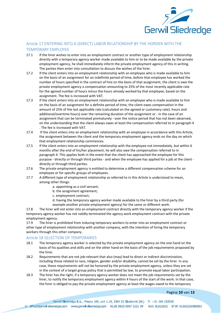

# Article 17 ENTERING INTO A (DIRECT) LABOR RELATIONSHIP BY THE HORDER WITH THE TEMPORARY EMPLOYEE

- 17.1 If the hirer wishes to enter into an employment contract or another type of employment relationship directly with a temporary agency worker made available to him or to be made available by the private employment agency, he shall immediately inform the private employment agency of this in writing. The parties then enter into consultation to discuss the wishes of the hirer.
- 17.2 If the client enters into an employment relationship with an employee who is made available to him on the basis of an assignment for an indefinite period of time, before that employee has worked the number of hours specified in the contract of hire on the basis of that assignment, the client is owe the private employment agency a compensation amounting to 25% of the most recently applicable rate for the agreed number of hours minus the hours already worked by that employee, based on the assignment. The fee is increased with VAT.
- 17.3 If the client enters into an employment relationship with an employee who is made available to him on the basis of an assignment for a definite period of time, the client owes compensation in the amount of 25% of the last applicable rate (calculated on the agreed or customary rate). hours and additional/overtime hours) over the remaining duration of the assignment or - in the case of an assignment that can be terminated prematurely - over the notice period that has not been observed, on the understanding that the client always owes at least the compensation referred to in paragraph 4 . The fee is increased with VAT.
- 17.4 If the client enters into an employment relationship with an employee in accordance with this Article, the assignment between the client and the temporary employment agency ends on the day on which that employment relationship commences.
- 17.5 If the client enters into an employment relationship with the employee not immediately, but within 6 months after the end of his/her placement, he will also owe the compensation referred to in paragraph 4. This applies both in the event that the client has approached the employee for this purpose - directly or through third parties - and when the employee has applied for a job at the client directly or through third parties.
- 17.6 The private employment agency is entitled to determine a different compensation scheme for an employee or for specific groups of employees.
- 17.7 A different type of employment relationship as referred to in this Article is understood to mean, among other things:
	- a. appointing as a civil servant;
	- b. the assignment agreement;
	- c. employment contract;
	- d. having the temporary agency worker made available to the hirer by a third party (for example another private employment agency) for the same or different work.

17.8 The hirer will not enter into an employment contract directly with the temporary agency worker if the temporary agency worker has not validly terminated the agency work employment contract with the private employment agency.

17.9 The hirer is prohibited from inducing temporary workers to enter into an employment contract or other type of employment relationship with another company, with the intention of hiring the temporary workers through this other company.

#### Article 18 SELECTION OF TEMPORARIES

- 18.1 The temporary agency worker is selected by the private employment agency on the one hand on the basis of his qualities and skills and on the other hand on the basis of the job requirements proposed by the hirer.
- 18.2 Requirements that are not job-relevant that also (may) lead to direct or indirect discrimination, including those related to race, religion, gender and/or disability, cannot be set by the hirer. In any case, these requirements will not be honored by the private employment agency, unless they are set in the context of a target group policy that is permitted by law, to promote equal labor participation.
- 18.3 The hirer has the right, if a temporary agency worker does not meet the job requirements set by the hirer, to notify the temporary employment agency within 4 hours of the start of the work. In that case, the hirer is obliged to pay the private employment agency at least the wages owed to the temporary

#### Pagina 10 van 13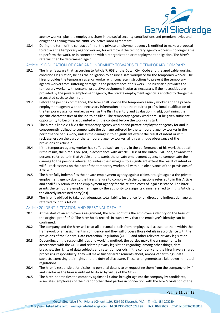

agency worker, plus the employer's share in the social security contributions and premium levies and obligations arising from the NBBU collective labor agreement.

18.4 During the term of the contract of hire, the private employment agency is entitled to make a proposal to replace the temporary agency worker, for example if the temporary agency worker is no longer able to perform the work, or in connection with a reorganization or redeployment obligation. The hirer's rate will then be determined again.

#### Article 19 OBLIGATION OF CARE AND INDEMNITY TOWARDS THE TEMPORARY COMPANY

- 19.1 The hirer is aware that, according to Article 7: 658 of the Dutch Civil Code and the applicable working conditions legislation, he has the obligation to ensure a safe workplace for the temporary worker. The hirer provides the temporary agency worker with concrete instructions to prevent the temporary agency worker from suffering damage in the performance of his work. The hirer also provides the temporary worker with personal protective equipment insofar as necessary. If the necessities are provided by the private employment agency, the private employment agency is entitled to charge the associated costs to the hirer.
- 19.2 Before the posting commences, the hirer shall provide the temporary agency worker and the private employment agency with the necessary information about the required professional qualification of the temporary agency worker, as well as the Risk Inventory and Evaluation (RI&E), containing the specific characteristics of the job to be filled. The temporary agency worker must be given sufficient opportunity to become acquainted with the content before the work can start.
- 19.3 The hirer is liable vis-à-vis the temporary agency worker and private employment agency for and is consequently obliged to compensate the damage suffered by the temporary agency worker in the performance of his work, unless the damage is to a significant extent the result of intent or wilful recklessness on the part of the temporary agency worker, all this with due observance of the provisions of Article 7.
- 19.4 If the temporary agency worker has suffered such an injury in the performance of his work that death is the result, the hirer is obliged, in accordance with Article 6:108 of the Dutch Civil Code, towards the persons referred to in that Article and towards the private employment agency to compensate the damage to the persons referred to, unless the damage is to a significant extent the result of intent or willful recklessness on the part of the temporary worker, all with due observance of the provisions of Article 7.
- 19.5 The hirer fully indemnifies the private employment agency against claims brought against the private employment agency due to the hirer's failure to comply with the obligations referred to in this Article and shall fully reimburse the employment agency for the related costs of legal assistance. The hirer grants the temporary employment agency the authority to assign its claims referred to in this Article to the directly interested party(ies).
- 19.6 The hirer is obliged to take out adequate, total liability insurance for all direct and indirect damage as referred to in this Article.

#### Article 20 IDENTIFICITATION AND PERSONAL DETAILS

- 20.1 At the start of an employee's assignment, the hirer confirms the employee's identity on the basis of the original proof of ID. The hirer holds records in such a way that the employee's identity can be confirmed.
- 20.2 The company and the hirer will treat all personal details from employees disclosed to them within the framework of an assignment in confidence and they will process those details in accordance with the provisions of the General Data Protection Regulation (GDPR) and other relevant privacy legislation.
- 20.3 Depending on the responsibilities and working method, the parties make the arrangements in accordance with the GDPR and related privacy legislation regarding, among other things, data breaches, the rights of data subjects and retention periods. If the company and the hirer have a shared processing responsibility, they will make further arrangements about, among other things, data subjects exercising their rights and the duty of disclosure. These arrangements are laid down in mutual regulations.
- 20.4 The hirer is responsible for disclosing personal details to or requesting them from the company only if and insofar as the hirer is entitled to do so by virtue of the GDPR.
- 20.5 The hirer indemnifies the company against all claims brought against the company by candidates, associates, employees of the hirer or other third parties in connection with the hirer's violation of the

#### Pagina 11 van 13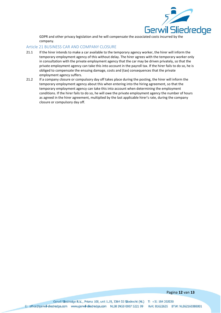

GDPR and other privacy legislation and he will compensate the associated costs incurred by the company.

#### Article 21 BUSINESS CAR AND COMPANY CLOSURE

- 21.1 If the hirer intends to make a car available to the temporary agency worker, the hirer will inform the temporary employment agency of this without delay. The hirer agrees with the temporary worker only in consultation with the private employment agency that the car may be driven privately, so that the private employment agency can take this into account in the payroll tax. If the hirer fails to do so, he is obliged to compensate the ensuing damage, costs and (tax) consequences that the private employment agency suffers.
- 21.2 If a company closure or compulsory day off takes place during the posting, the hirer will inform the temporary employment agency about this when entering into the hiring agreement, so that the temporary employment agency can take this into account when determining the employment conditions. If the hirer fails to do so, he will owe the private employment agency the number of hours as agreed in the hirer agreement, multiplied by the last applicable hirer's rate, during the company closure or compulsory day off.

#### Pagina 12 van 13